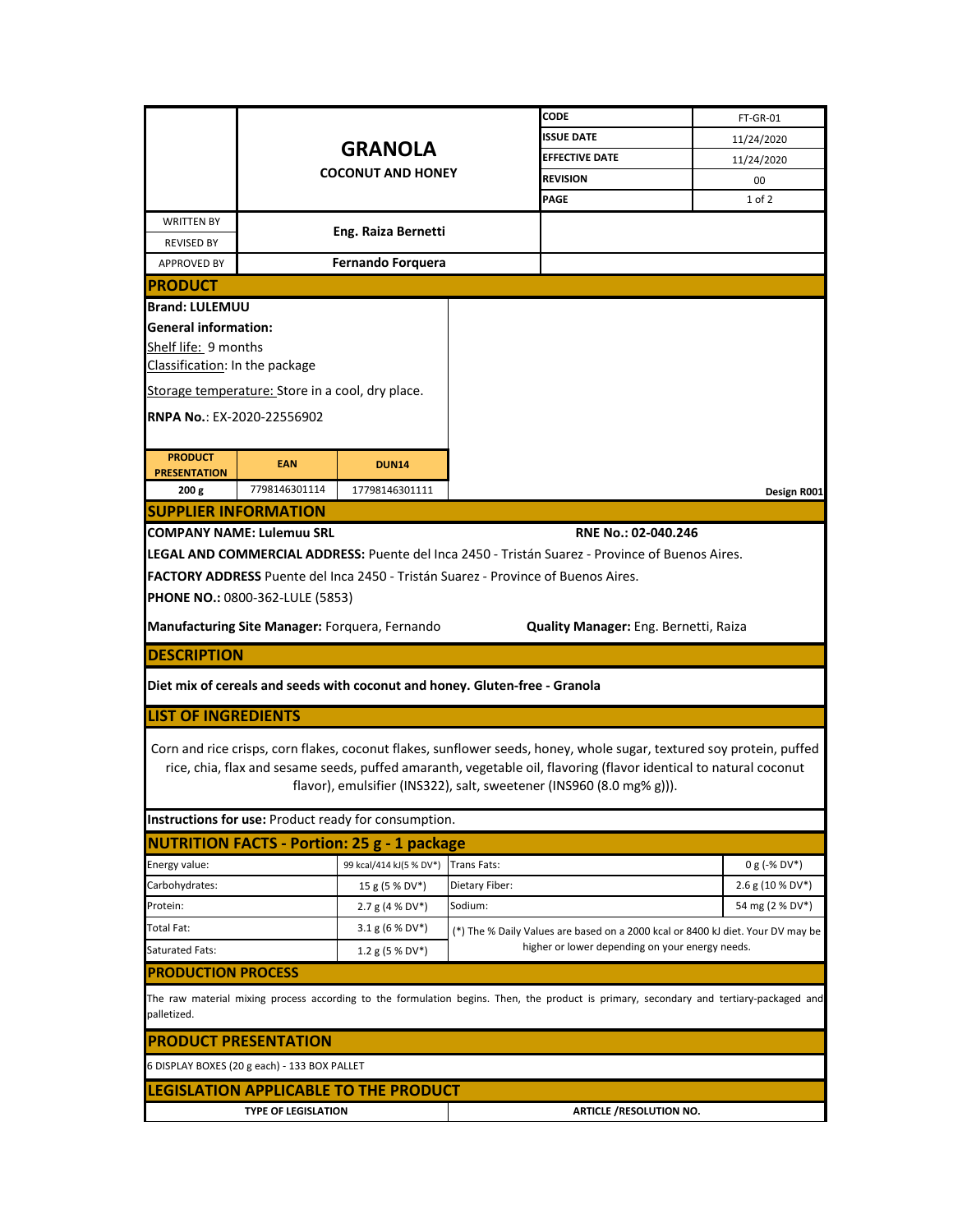|                                                                                                                                                       |                                                  |                                                                                          |                                                 | <b>CODE</b>                                                                                     | FT-GR-01                                                                                                             |  |  |  |
|-------------------------------------------------------------------------------------------------------------------------------------------------------|--------------------------------------------------|------------------------------------------------------------------------------------------|-------------------------------------------------|-------------------------------------------------------------------------------------------------|----------------------------------------------------------------------------------------------------------------------|--|--|--|
|                                                                                                                                                       |                                                  |                                                                                          |                                                 | <b>ISSUE DATE</b>                                                                               | 11/24/2020                                                                                                           |  |  |  |
|                                                                                                                                                       |                                                  | <b>GRANOLA</b>                                                                           |                                                 | <b>EFFECTIVE DATE</b>                                                                           | 11/24/2020                                                                                                           |  |  |  |
|                                                                                                                                                       |                                                  | <b>COCONUT AND HONEY</b>                                                                 |                                                 | <b>REVISION</b>                                                                                 | 00                                                                                                                   |  |  |  |
|                                                                                                                                                       |                                                  |                                                                                          |                                                 | PAGE                                                                                            | 1 of 2                                                                                                               |  |  |  |
| <b>WRITTEN BY</b><br><b>REVISED BY</b>                                                                                                                | Eng. Raiza Bernetti                              |                                                                                          |                                                 |                                                                                                 |                                                                                                                      |  |  |  |
| <b>APPROVED BY</b>                                                                                                                                    | <b>Fernando Forquera</b>                         |                                                                                          |                                                 |                                                                                                 |                                                                                                                      |  |  |  |
| <b>IPRODUCT</b>                                                                                                                                       |                                                  |                                                                                          |                                                 |                                                                                                 |                                                                                                                      |  |  |  |
| <b>Brand: LULEMUU</b>                                                                                                                                 |                                                  |                                                                                          |                                                 |                                                                                                 |                                                                                                                      |  |  |  |
|                                                                                                                                                       | <b>General information:</b>                      |                                                                                          |                                                 |                                                                                                 |                                                                                                                      |  |  |  |
|                                                                                                                                                       | Shelf life: 9 months                             |                                                                                          |                                                 |                                                                                                 |                                                                                                                      |  |  |  |
| Classification: In the package                                                                                                                        |                                                  |                                                                                          |                                                 |                                                                                                 |                                                                                                                      |  |  |  |
|                                                                                                                                                       | Storage temperature: Store in a cool, dry place. |                                                                                          |                                                 |                                                                                                 |                                                                                                                      |  |  |  |
| <b>RNPA No.: EX-2020-22556902</b>                                                                                                                     |                                                  |                                                                                          |                                                 |                                                                                                 |                                                                                                                      |  |  |  |
|                                                                                                                                                       |                                                  |                                                                                          |                                                 |                                                                                                 |                                                                                                                      |  |  |  |
| <b>PRODUCT</b><br><b>PRESENTATION</b>                                                                                                                 | <b>EAN</b>                                       | <b>DUN14</b>                                                                             |                                                 |                                                                                                 |                                                                                                                      |  |  |  |
| 200 g                                                                                                                                                 | 7798146301114                                    | 17798146301111                                                                           |                                                 |                                                                                                 | Design R001                                                                                                          |  |  |  |
| <b>SUPPLIER INFORMATION</b>                                                                                                                           |                                                  |                                                                                          |                                                 |                                                                                                 |                                                                                                                      |  |  |  |
|                                                                                                                                                       | <b>ICOMPANY NAME: Lulemuu SRL</b>                |                                                                                          |                                                 | RNE No.: 02-040.246                                                                             |                                                                                                                      |  |  |  |
|                                                                                                                                                       |                                                  |                                                                                          |                                                 | LEGAL AND COMMERCIAL ADDRESS: Puente del Inca 2450 - Tristán Suarez - Province of Buenos Aires. |                                                                                                                      |  |  |  |
|                                                                                                                                                       |                                                  | <b>FACTORY ADDRESS</b> Puente del Inca 2450 - Tristán Suarez - Province of Buenos Aires. |                                                 |                                                                                                 |                                                                                                                      |  |  |  |
|                                                                                                                                                       | <b>PHONE NO.: 0800-362-LULE (5853)</b>           |                                                                                          |                                                 |                                                                                                 |                                                                                                                      |  |  |  |
| Manufacturing Site Manager: Forquera, Fernando<br>Quality Manager: Eng. Bernetti, Raiza                                                               |                                                  |                                                                                          |                                                 |                                                                                                 |                                                                                                                      |  |  |  |
| <b>DESCRIPTION</b>                                                                                                                                    |                                                  |                                                                                          |                                                 |                                                                                                 |                                                                                                                      |  |  |  |
| Diet mix of cereals and seeds with coconut and honey. Gluten-free - Granola                                                                           |                                                  |                                                                                          |                                                 |                                                                                                 |                                                                                                                      |  |  |  |
| <b>LIST OF INGREDIENTS</b>                                                                                                                            |                                                  |                                                                                          |                                                 |                                                                                                 |                                                                                                                      |  |  |  |
|                                                                                                                                                       |                                                  |                                                                                          |                                                 |                                                                                                 |                                                                                                                      |  |  |  |
|                                                                                                                                                       |                                                  |                                                                                          |                                                 |                                                                                                 | Corn and rice crisps, corn flakes, coconut flakes, sunflower seeds, honey, whole sugar, textured soy protein, puffed |  |  |  |
|                                                                                                                                                       |                                                  |                                                                                          |                                                 | flavor), emulsifier (INS322), salt, sweetener (INS960 (8.0 mg% g))).                            | rice, chia, flax and sesame seeds, puffed amaranth, vegetable oil, flavoring (flavor identical to natural coconut    |  |  |  |
|                                                                                                                                                       |                                                  |                                                                                          |                                                 |                                                                                                 |                                                                                                                      |  |  |  |
|                                                                                                                                                       |                                                  | Instructions for use: Product ready for consumption.                                     |                                                 |                                                                                                 |                                                                                                                      |  |  |  |
|                                                                                                                                                       |                                                  | <b>NUTRITION FACTS - Portion: 25 g - 1 package</b>                                       |                                                 |                                                                                                 |                                                                                                                      |  |  |  |
| Energy value:                                                                                                                                         |                                                  | 99 kcal/414 kJ(5 % DV*)                                                                  | Trans Fats:                                     |                                                                                                 | $0 g (-\% DV^*)$                                                                                                     |  |  |  |
| Carbohydrates:                                                                                                                                        |                                                  | 15 g (5 % DV*)                                                                           | Dietary Fiber:                                  |                                                                                                 | $2.6$ g (10 % DV <sup>*</sup> )                                                                                      |  |  |  |
| Protein:                                                                                                                                              |                                                  | $2.7 g (4 % DV*)$                                                                        | Sodium:                                         |                                                                                                 | 54 mg (2 % DV*)                                                                                                      |  |  |  |
| <b>Total Fat:</b>                                                                                                                                     |                                                  | $3.1 g (6 % DV*)$                                                                        |                                                 |                                                                                                 | (*) The % Daily Values are based on a 2000 kcal or 8400 kJ diet. Your DV may be                                      |  |  |  |
| Saturated Fats:                                                                                                                                       |                                                  | $1.2$ g (5 % DV*)                                                                        | higher or lower depending on your energy needs. |                                                                                                 |                                                                                                                      |  |  |  |
| <b>IPRODUCTION PROCESS</b>                                                                                                                            |                                                  |                                                                                          |                                                 |                                                                                                 |                                                                                                                      |  |  |  |
| The raw material mixing process according to the formulation begins. Then, the product is primary, secondary and tertiary-packaged and<br>palletized. |                                                  |                                                                                          |                                                 |                                                                                                 |                                                                                                                      |  |  |  |
| <b>PRODUCT PRESENTATION</b>                                                                                                                           |                                                  |                                                                                          |                                                 |                                                                                                 |                                                                                                                      |  |  |  |
|                                                                                                                                                       | 6 DISPLAY BOXES (20 g each) - 133 BOX PALLET     |                                                                                          |                                                 |                                                                                                 |                                                                                                                      |  |  |  |
|                                                                                                                                                       |                                                  | LEGISLATION APPLICABLE TO THE PRODUCT                                                    |                                                 |                                                                                                 |                                                                                                                      |  |  |  |
| <b>TYPE OF LEGISLATION</b><br><b>ARTICLE /RESOLUTION NO.</b>                                                                                          |                                                  |                                                                                          |                                                 |                                                                                                 |                                                                                                                      |  |  |  |
|                                                                                                                                                       |                                                  |                                                                                          |                                                 |                                                                                                 |                                                                                                                      |  |  |  |